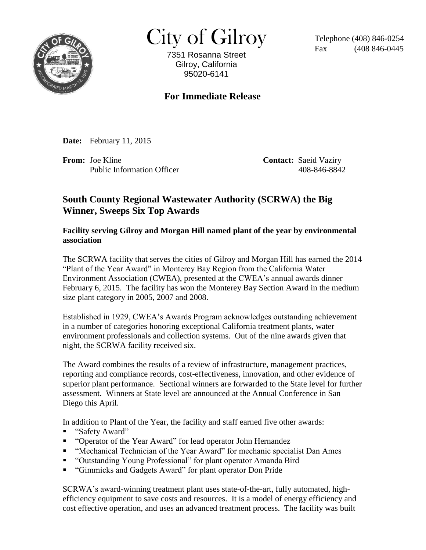

 $City of Gilroy$  Telephone (408) 846-0254

7351 Rosanna Street Gilroy, California 95020-6141

(408 846-0445)

## **For Immediate Release**

**Date:** February 11, 2015

**From:** Joe Kline **Contact:** Saeid Vaziry Public Information Officer 408-846-8842

## **South County Regional Wastewater Authority (SCRWA) the Big Winner, Sweeps Six Top Awards**

## **Facility serving Gilroy and Morgan Hill named plant of the year by environmental association**

The SCRWA facility that serves the cities of Gilroy and Morgan Hill has earned the 2014 "Plant of the Year Award" in Monterey Bay Region from the California Water Environment Association (CWEA), presented at the CWEA's annual awards dinner February 6, 2015. The facility has won the Monterey Bay Section Award in the medium size plant category in 2005, 2007 and 2008.

Established in 1929, CWEA's Awards Program acknowledges outstanding achievement in a number of categories honoring exceptional California treatment plants, water environment professionals and collection systems. Out of the nine awards given that night, the SCRWA facility received six.

The Award combines the results of a review of infrastructure, management practices, reporting and compliance records, cost-effectiveness, innovation, and other evidence of superior plant performance. Sectional winners are forwarded to the State level for further assessment. Winners at State level are announced at the Annual Conference in San Diego this April.

In addition to Plant of the Year, the facility and staff earned five other awards:

- "Safety Award"
- "Operator of the Year Award" for lead operator John Hernandez
- "Mechanical Technician of the Year Award" for mechanic specialist Dan Ames
- "Outstanding Young Professional" for plant operator Amanda Bird
- "Gimmicks and Gadgets Award" for plant operator Don Pride

SCRWA's award-winning treatment plant uses state-of-the-art, fully automated, highefficiency equipment to save costs and resources. It is a model of energy efficiency and cost effective operation, and uses an advanced treatment process. The facility was built